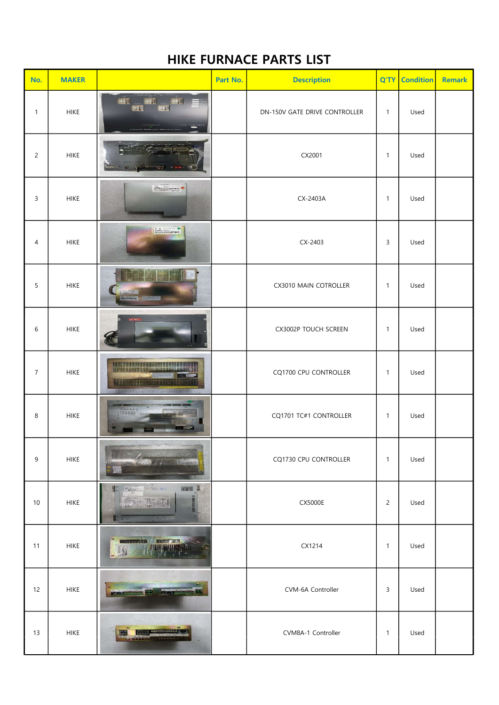## HIKE FURNACE PARTS LIST

| No.            | <b>MAKER</b> |                                                                                                                                                                                                                                                                                                                                                                                                                                                                                                        | Part No. | <b>Description</b>            | Q'TY           | <b>Condition</b> | <b>Remark</b> |
|----------------|--------------|--------------------------------------------------------------------------------------------------------------------------------------------------------------------------------------------------------------------------------------------------------------------------------------------------------------------------------------------------------------------------------------------------------------------------------------------------------------------------------------------------------|----------|-------------------------------|----------------|------------------|---------------|
| $\mathbf{1}$   | <b>HIKE</b>  | $\mathbf{H}$<br><b>CONTRACTOR</b><br>唯相<br>图制<br>图制                                                                                                                                                                                                                                                                                                                                                                                                                                                    |          | DN-150V GATE DRIVE CONTROLLER | $\mathbf{1}$   | Used             |               |
| $\overline{c}$ | <b>HIKE</b>  |                                                                                                                                                                                                                                                                                                                                                                                                                                                                                                        |          | CX2001                        | 1              | Used             |               |
| 3              | <b>HIKE</b>  | Magazine                                                                                                                                                                                                                                                                                                                                                                                                                                                                                               |          | CX-2403A                      | 1              | Used             |               |
| 4              | <b>HIKE</b>  | NE OSTANO                                                                                                                                                                                                                                                                                                                                                                                                                                                                                              |          | CX-2403                       | 3              | Used             |               |
| 5              | <b>HIKE</b>  | y.<br>William Reference                                                                                                                                                                                                                                                                                                                                                                                                                                                                                |          | CX3010 MAIN COTROLLER         | 1              | Used             |               |
| 6              | <b>HIKE</b>  |                                                                                                                                                                                                                                                                                                                                                                                                                                                                                                        |          | CX3002P TOUCH SCREEN          | 1              | Used             |               |
| $\overline{7}$ | <b>HIKE</b>  | <b>Manufacturer (1999)</b><br><u>WWW. MARTIN WAS ARRESTED FOR THE CONTRACTOR OF THE CONTRACTOR OF THE CONTRACTOR OF THE CONTRACTOR OF THE CONTRACTOR</u>                                                                                                                                                                                                                                                                                                                                               |          | CQ1700 CPU CONTROLLER         | 1              | Used             |               |
| 8              | <b>HIKE</b>  |                                                                                                                                                                                                                                                                                                                                                                                                                                                                                                        |          | CQ1701 TC#1 CONTROLLER        | 1              | Used             |               |
| 9              | <b>HIKE</b>  | Addis To July 19 Ballance<br>監                                                                                                                                                                                                                                                                                                                                                                                                                                                                         |          | CQ1730 CPU CONTROLLER         | $\mathbf{1}$   | Used             |               |
| 10             | <b>HIKE</b>  | <b>Millian</b><br>$\begin{bmatrix} \mathbf{e} & \frac{\mathbf{e}}{2} & \frac{\mathbf{e}}{2} \\ \mathbf{e} & \frac{\mathbf{e}}{2} & \frac{\mathbf{e}}{2} & \frac{\mathbf{e}}{2} \\ \mathbf{e} & \frac{\mathbf{e}}{2} & \frac{\mathbf{e}}{2} & \frac{\mathbf{e}}{2} \\ \mathbf{e} & \frac{\mathbf{e}}{2} & \frac{\mathbf{e}}{2} & \frac{\mathbf{e}}{2} \\ \mathbf{e} & \frac{\mathbf{e}}{2} & \frac{\mathbf{e}}{2} & \frac{\mathbf{e}}{2} \\ \mathbf{e} & \frac{\math$<br>群门<br>现象 性白<br>$-0.000$<br>真理法 |          | <b>CX5000E</b>                | $\overline{c}$ | Used             |               |
| 11             | <b>HIKE</b>  | <b>MASTER DESK</b><br><b>STREET, STREET</b><br>编                                                                                                                                                                                                                                                                                                                                                                                                                                                       |          | CX1214                        | 1              | Used             |               |
| 12             | <b>HIKE</b>  | <b>Portfolk</b> dar                                                                                                                                                                                                                                                                                                                                                                                                                                                                                    |          | CVM-6A Controller             | 3              | Used             |               |
| 13             | <b>HIKE</b>  | <b>MONTAGE AND LESS</b>                                                                                                                                                                                                                                                                                                                                                                                                                                                                                |          | CVM8A-1 Controller            | 1              | Used             |               |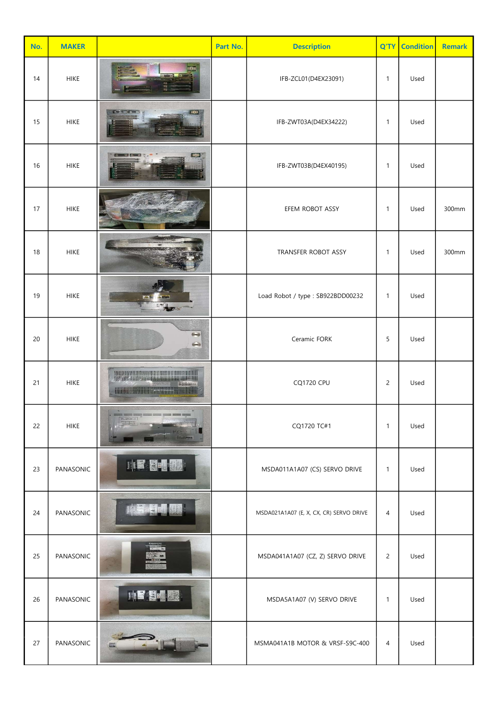| No. | <b>MAKER</b> |                                                                                    | Part No. | <b>Description</b>                      | Q'TY           | <b>Condition</b> | <b>Remark</b> |
|-----|--------------|------------------------------------------------------------------------------------|----------|-----------------------------------------|----------------|------------------|---------------|
| 14  | <b>HIKE</b>  |                                                                                    |          | IFB-ZCL01(D4EX23091)                    | $\mathbf{1}$   | Used             |               |
| 15  | <b>HIKE</b>  |                                                                                    |          | IFB-ZWT03A(D4EX34222)                   | 1              | Used             |               |
| 16  | <b>HIKE</b>  | 222                                                                                |          | IFB-ZWT03B(D4EX40195)                   | 1              | Used             |               |
| 17  | <b>HIKE</b>  |                                                                                    |          | EFEM ROBOT ASSY                         | 1              | Used             | 300mm         |
| 18  | <b>HIKE</b>  |                                                                                    |          | TRANSFER ROBOT ASSY                     | 1              | Used             | 300mm         |
| 19  | <b>HIKE</b>  | A                                                                                  |          | Load Robot / type: SB922BDD00232        | 1              | Used             |               |
| 20  | <b>HIKE</b>  | $\bigodot$<br>$\Longleftrightarrow$                                                |          | Ceramic FORK                            | 5              | Used             |               |
| 21  | <b>HIKE</b>  | <b>THE REAL PROPERTY AND REAL PROPERTY</b><br><b>WARRANT WAS ARRESTED FOR THE </b> |          | <b>CQ1720 CPU</b>                       | $\overline{c}$ | Used             |               |
| 22  | <b>HIKE</b>  |                                                                                    |          | CQ1720 TC#1                             | $\mathbf{1}$   | Used             |               |
| 23  | PANASONIC    | <b>THE REAL</b>                                                                    |          | MSDA011A1A07 (CS) SERVO DRIVE           | $\mathbf{1}$   | Used             |               |
| 24  | PANASONIC    |                                                                                    |          | MSDA021A1A07 (E, X, CX, CR) SERVO DRIVE | $\overline{4}$ | Used             |               |
| 25  | PANASONIC    |                                                                                    |          | MSDA041A1A07 (CZ, Z) SERVO DRIVE        | $\overline{c}$ | Used             |               |
| 26  | PANASONIC    | 川口图画图                                                                              |          | MSDA5A1A07 (V) SERVO DRIVE              | $\mathbf{1}$   | Used             |               |
| 27  | PANASONIC    |                                                                                    |          | MSMA041A1B MOTOR & VRSF-S9C-400         | $\overline{4}$ | Used             |               |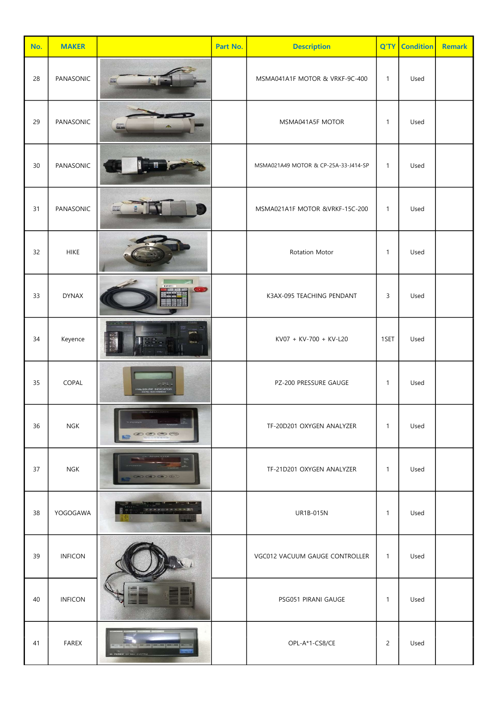| No. | <b>MAKER</b>   |                   | Part No. | <b>Description</b>                   | Q'TY           | <b>Condition</b> | <b>Remark</b> |
|-----|----------------|-------------------|----------|--------------------------------------|----------------|------------------|---------------|
| 28  | PANASONIC      |                   |          | MSMA041A1F MOTOR & VRKF-9C-400       | $\mathbf{1}$   | Used             |               |
| 29  | PANASONIC      |                   |          | MSMA041A5F MOTOR                     | $\mathbf{1}$   | Used             |               |
| 30  | PANASONIC      |                   |          | MSMA021A49 MOTOR & CP-25A-33-J414-SP | $\mathbf{1}$   | Used             |               |
| 31  | PANASONIC      |                   |          | MSMA021A1F MOTOR &VRKF-15C-200       | $\mathbf{1}$   | Used             |               |
| 32  | <b>HIKE</b>    |                   |          | Rotation Motor                       | $\mathbf{1}$   | Used             |               |
| 33  | <b>DYNAX</b>   |                   |          | K3AX-095 TEACHING PENDANT            | 3              | Used             |               |
| 34  | Keyence        |                   |          | KV07 + KV-700 + KV-L20               | 1SET           | Used             |               |
| 35  | COPAL          |                   |          | PZ-200 PRESSURE GAUGE                | $\mathbf{1}$   | Used             |               |
| 36  | NGK            | $\odot$ (s) (see  |          | TF-20D201 OXYGEN ANALYZER            | $\mathbf{1}$   | Used             |               |
| 37  | <b>NGK</b>     |                   |          | TF-21D201 OXYGEN ANALYZER            | $\mathbf{1}$   | Used             |               |
| 38  | YOGOGAWA       |                   |          | <b>UR1B-015N</b>                     | $\mathbf{1}$   | Used             |               |
| 39  | <b>INFICON</b> |                   |          | VGC012 VACUUM GAUGE CONTROLLER       | $\mathbf{1}$   | Used             |               |
| 40  | <b>INFICON</b> |                   |          | PSG051 PIRANI GAUGE                  | $\mathbf{1}$   | Used             |               |
| 41  | FAREX          | <b>STATISTICS</b> |          | OPL-A*1-CS8/CE                       | $\overline{c}$ | Used             |               |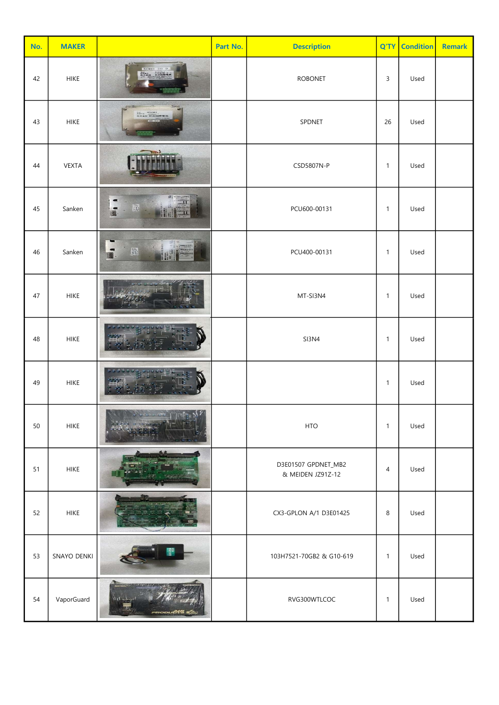| No. | <b>MAKER</b> |                                                          | Part No. | <b>Description</b>                       | Q'TY                      | <b>Condition</b> | <b>Remark</b> |
|-----|--------------|----------------------------------------------------------|----------|------------------------------------------|---------------------------|------------------|---------------|
| 42  | <b>HIKE</b>  | <b>ROBO 1D 9</b><br>134416<br>aut<br>Minere<br>Mulisträt |          | <b>ROBONET</b>                           | $\ensuremath{\mathsf{3}}$ | Used             |               |
| 43  | <b>HIKE</b>  | $\epsilon$                                               |          | SPDNET                                   | 26                        | Used             |               |
| 44  | VEXTA        |                                                          |          | CSD5807N-P                               | $\mathbf{1}$              | Used             |               |
| 45  | Sanken       | $\blacksquare$<br>$\overline{\phantom{a}}$<br>膕          |          | PCU600-00131                             | $\mathbf{1}$              | Used             |               |
| 46  | Sanken       | x<br>脚                                                   |          | PCU400-00131                             | $\mathbf{1}$              | Used             |               |
| 47  | <b>HIKE</b>  |                                                          |          | MT-SI3N4                                 | $\mathbf{1}$              | Used             |               |
| 48  | <b>HIKE</b>  |                                                          |          | <b>SI3N4</b>                             | $\mathbf{1}$              | Used             |               |
| 49  | <b>HIKE</b>  |                                                          |          |                                          | $\mathbf{1}$              | Used             |               |
| 50  | <b>HIKE</b>  |                                                          |          | <b>HTO</b>                               | $\mathbf{1}$              | Used             |               |
| 51  | <b>HIKE</b>  |                                                          |          | D3E01507 GPDNET_MB2<br>& MEIDEN JZ91Z-12 | $\overline{4}$            | Used             |               |
| 52  | <b>HIKE</b>  |                                                          |          | CX3-GPLON A/1 D3E01425                   | 8                         | Used             |               |
| 53  | SNAYO DENKI  |                                                          |          | 103H7521-70GB2 & G10-619                 | $\mathbf{1}$              | Used             |               |
| 54  | VaporGuard   |                                                          |          | RVG300WTLCOC                             | $\mathbf{1}$              | Used             |               |